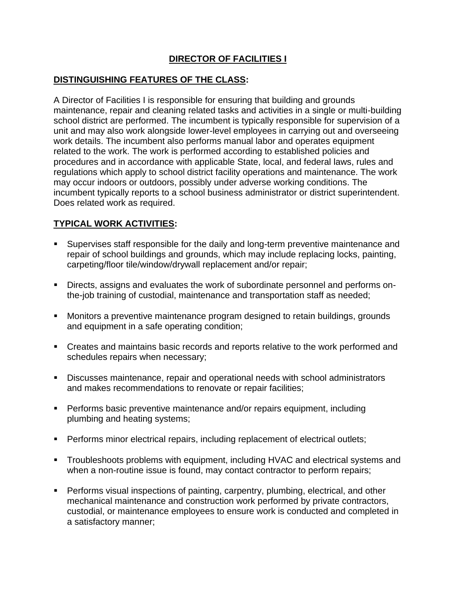# **DIRECTOR OF FACILITIES I**

## **DISTINGUISHING FEATURES OF THE CLASS:**

A Director of Facilities I is responsible for ensuring that building and grounds maintenance, repair and cleaning related tasks and activities in a single or multi-building school district are performed. The incumbent is typically responsible for supervision of a unit and may also work alongside lower-level employees in carrying out and overseeing work details. The incumbent also performs manual labor and operates equipment related to the work. The work is performed according to established policies and procedures and in accordance with applicable State, local, and federal laws, rules and regulations which apply to school district facility operations and maintenance. The work may occur indoors or outdoors, possibly under adverse working conditions. The incumbent typically reports to a school business administrator or district superintendent. Does related work as required.

## **TYPICAL WORK ACTIVITIES:**

- Supervises staff responsible for the daily and long-term preventive maintenance and repair of school buildings and grounds, which may include replacing locks, painting, carpeting/floor tile/window/drywall replacement and/or repair;
- Directs, assigns and evaluates the work of subordinate personnel and performs onthe-job training of custodial, maintenance and transportation staff as needed;
- Monitors a preventive maintenance program designed to retain buildings, grounds and equipment in a safe operating condition;
- Creates and maintains basic records and reports relative to the work performed and schedules repairs when necessary;
- Discusses maintenance, repair and operational needs with school administrators and makes recommendations to renovate or repair facilities;
- Performs basic preventive maintenance and/or repairs equipment, including plumbing and heating systems;
- **Performs minor electrical repairs, including replacement of electrical outlets;**
- **•** Troubleshoots problems with equipment, including HVAC and electrical systems and when a non-routine issue is found, may contact contractor to perform repairs;
- Performs visual inspections of painting, carpentry, plumbing, electrical, and other mechanical maintenance and construction work performed by private contractors, custodial, or maintenance employees to ensure work is conducted and completed in a satisfactory manner;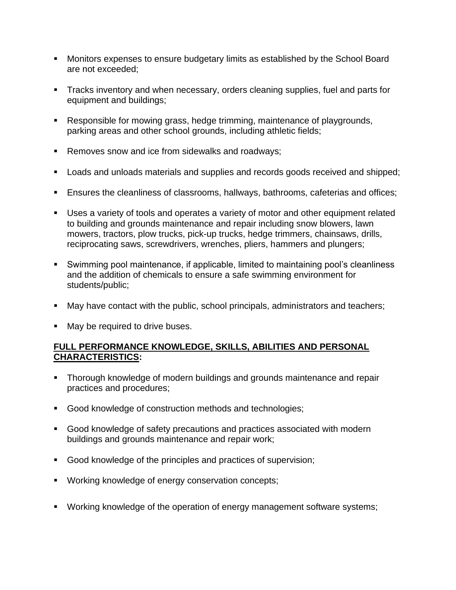- Monitors expenses to ensure budgetary limits as established by the School Board are not exceeded;
- **Tracks inventory and when necessary, orders cleaning supplies, fuel and parts for** equipment and buildings;
- Responsible for mowing grass, hedge trimming, maintenance of playgrounds, parking areas and other school grounds, including athletic fields;
- Removes snow and ice from sidewalks and roadways;
- Loads and unloads materials and supplies and records goods received and shipped;
- Ensures the cleanliness of classrooms, hallways, bathrooms, cafeterias and offices;
- Uses a variety of tools and operates a variety of motor and other equipment related to building and grounds maintenance and repair including snow blowers, lawn mowers, tractors, plow trucks, pick-up trucks, hedge trimmers, chainsaws, drills, reciprocating saws, screwdrivers, wrenches, pliers, hammers and plungers;
- Swimming pool maintenance, if applicable, limited to maintaining pool's cleanliness and the addition of chemicals to ensure a safe swimming environment for students/public;
- May have contact with the public, school principals, administrators and teachers;
- May be required to drive buses.

### **FULL PERFORMANCE KNOWLEDGE, SKILLS, ABILITIES AND PERSONAL CHARACTERISTICS:**

- **Thorough knowledge of modern buildings and grounds maintenance and repair** practices and procedures;
- Good knowledge of construction methods and technologies;
- Good knowledge of safety precautions and practices associated with modern buildings and grounds maintenance and repair work;
- Good knowledge of the principles and practices of supervision;
- Working knowledge of energy conservation concepts;
- Working knowledge of the operation of energy management software systems;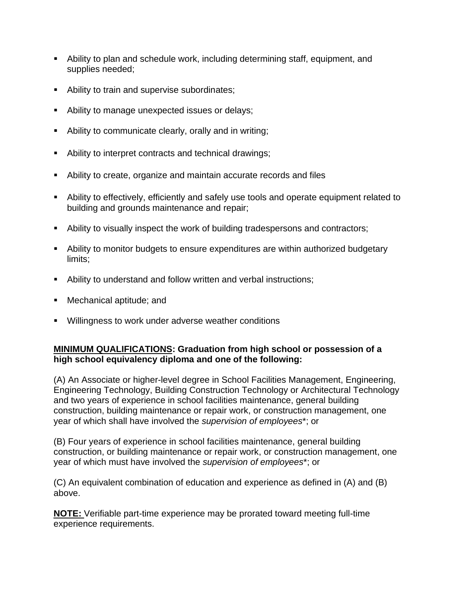- Ability to plan and schedule work, including determining staff, equipment, and supplies needed;
- Ability to train and supervise subordinates;
- Ability to manage unexpected issues or delays;
- Ability to communicate clearly, orally and in writing;
- Ability to interpret contracts and technical drawings;
- Ability to create, organize and maintain accurate records and files
- Ability to effectively, efficiently and safely use tools and operate equipment related to building and grounds maintenance and repair;
- Ability to visually inspect the work of building tradespersons and contractors;
- Ability to monitor budgets to ensure expenditures are within authorized budgetary limits;
- Ability to understand and follow written and verbal instructions;
- Mechanical aptitude; and
- Willingness to work under adverse weather conditions

# **MINIMUM QUALIFICATIONS: Graduation from high school or possession of a high school equivalency diploma and one of the following:**

(A) An Associate or higher-level degree in School Facilities Management, Engineering, Engineering Technology, Building Construction Technology or Architectural Technology and two years of experience in school facilities maintenance, general building construction, building maintenance or repair work, or construction management, one year of which shall have involved the *supervision of employees*\*; or

(B) Four years of experience in school facilities maintenance, general building construction, or building maintenance or repair work, or construction management, one year of which must have involved the *supervision of employees*\*; or

(C) An equivalent combination of education and experience as defined in (A) and (B) above.

**NOTE:** Verifiable part-time experience may be prorated toward meeting full-time experience requirements.